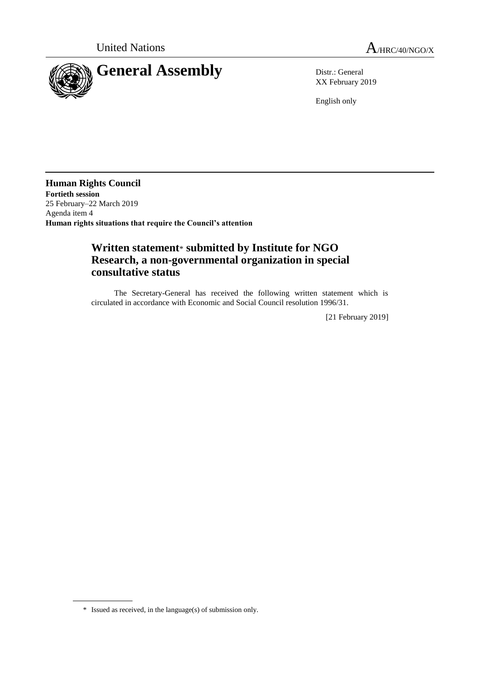

XX February 2019

English only

**Human Rights Council Fortieth session** 25 February–22 March 2019 Agenda item 4 **Human rights situations that require the Council's attention**

## **Written statement**\* **submitted by Institute for NGO Research, a non-governmental organization in special consultative status**

The Secretary-General has received the following written statement which is circulated in accordance with Economic and Social Council resolution 1996/31.

[21 February 2019]

<sup>\*</sup> Issued as received, in the language(s) of submission only.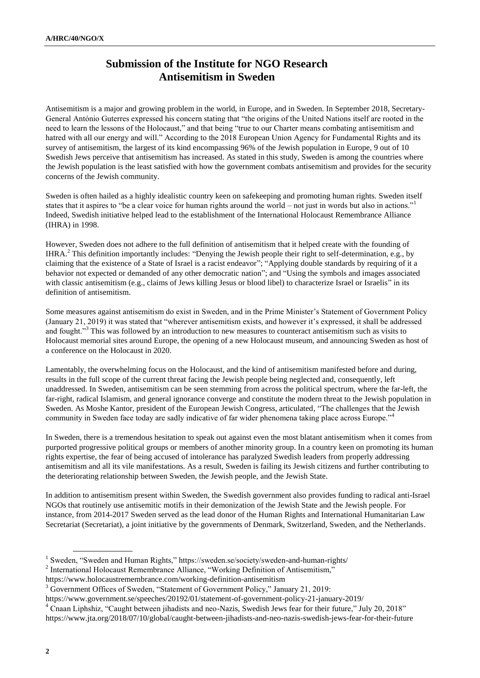## **Submission of the Institute for NGO Research Antisemitism in Sweden**

Antisemitism is a major and growing problem in the world, in Europe, and in Sweden. In September 2018, Secretary-General António Guterres expressed his concern stating that "the origins of the United Nations itself are rooted in the need to learn the lessons of the Holocaust," and that being "true to our Charter means combating antisemitism and hatred with all our energy and will." According to the 2018 European Union Agency for Fundamental Rights and its survey of antisemitism, the largest of its kind encompassing 96% of the Jewish population in Europe, 9 out of 10 Swedish Jews perceive that antisemitism has increased. As stated in this study, Sweden is among the countries where the Jewish population is the least satisfied with how the government combats antisemitism and provides for the security concerns of the Jewish community.

Sweden is often hailed as a highly idealistic country keen on safekeeping and promoting human rights. Sweden itself states that it aspires to "be a clear voice for human rights around the world – not just in words but also in actions."<sup>1</sup> Indeed, Swedish initiative helped lead to the establishment of the International Holocaust Remembrance Alliance (IHRA) in 1998.

However, Sweden does not adhere to the full definition of antisemitism that it helped create with the founding of IHRA.<sup>2</sup> This definition importantly includes: "Denying the Jewish people their right to self-determination, e.g., by claiming that the existence of a State of Israel is a racist endeavor"; "Applying double standards by requiring of it a behavior not expected or demanded of any other democratic nation"; and "Using the symbols and images associated with classic antisemitism (e.g., claims of Jews killing Jesus or blood libel) to characterize Israel or Israelis" in its definition of antisemitism.

Some measures against antisemitism do exist in Sweden, and in the Prime Minister's Statement of Government Policy (January 21, 2019) it was stated that "wherever antisemitism exists, and however it's expressed, it shall be addressed and fought."<sup>3</sup> This was followed by an introduction to new measures to counteract antisemitism such as visits to Holocaust memorial sites around Europe, the opening of a new Holocaust museum, and announcing Sweden as host of a conference on the Holocaust in 2020.

Lamentably, the overwhelming focus on the Holocaust, and the kind of antisemitism manifested before and during, results in the full scope of the current threat facing the Jewish people being neglected and, consequently, left unaddressed. In Sweden, antisemitism can be seen stemming from across the political spectrum, where the far-left, the far-right, radical Islamism, and general ignorance converge and constitute the modern threat to the Jewish population in Sweden. As Moshe Kantor, president of the European Jewish Congress, articulated, "The challenges that the Jewish community in Sweden face today are sadly indicative of far wider phenomena taking place across Europe."<sup>4</sup>

In Sweden, there is a tremendous hesitation to speak out against even the most blatant antisemitism when it comes from purported progressive political groups or members of another minority group. In a country keen on promoting its human rights expertise, the fear of being accused of intolerance has paralyzed Swedish leaders from properly addressing antisemitism and all its vile manifestations. As a result, Sweden is failing its Jewish citizens and further contributing to the deteriorating relationship between Sweden, the Jewish people, and the Jewish State.

In addition to antisemitism present within Sweden, the Swedish government also provides funding to radical anti-Israel NGOs that routinely use antisemitic motifs in their demonization of the Jewish State and the Jewish people. For instance, from 2014-2017 Sweden served as the lead donor of the Human Rights and International Humanitarian Law Secretariat (Secretariat), a joint initiative by the governments of Denmark, Switzerland, Sweden, and the Netherlands.

<sup>&</sup>lt;sup>1</sup> Sweden, "Sweden and Human Rights," https://sweden.se/society/sweden-and-human-rights/

<sup>&</sup>lt;sup>2</sup> International Holocaust Remembrance Alliance, "Working Definition of Antisemitism,"

https://www.holocaustremembrance.com/working-definition-antisemitism

<sup>&</sup>lt;sup>3</sup> Government Offices of Sweden, "Statement of Government Policy," January 21, 2019:

https://www.government.se/speeches/20192/01/statement-of-government-policy-21-january-2019/

<sup>4</sup> Cnaan Liphshiz, "Caught between jihadists and neo-Nazis, Swedish Jews fear for their future," July 20, 2018"

https://www.jta.org/2018/07/10/global/caught-between-jihadists-and-neo-nazis-swedish-jews-fear-for-their-future